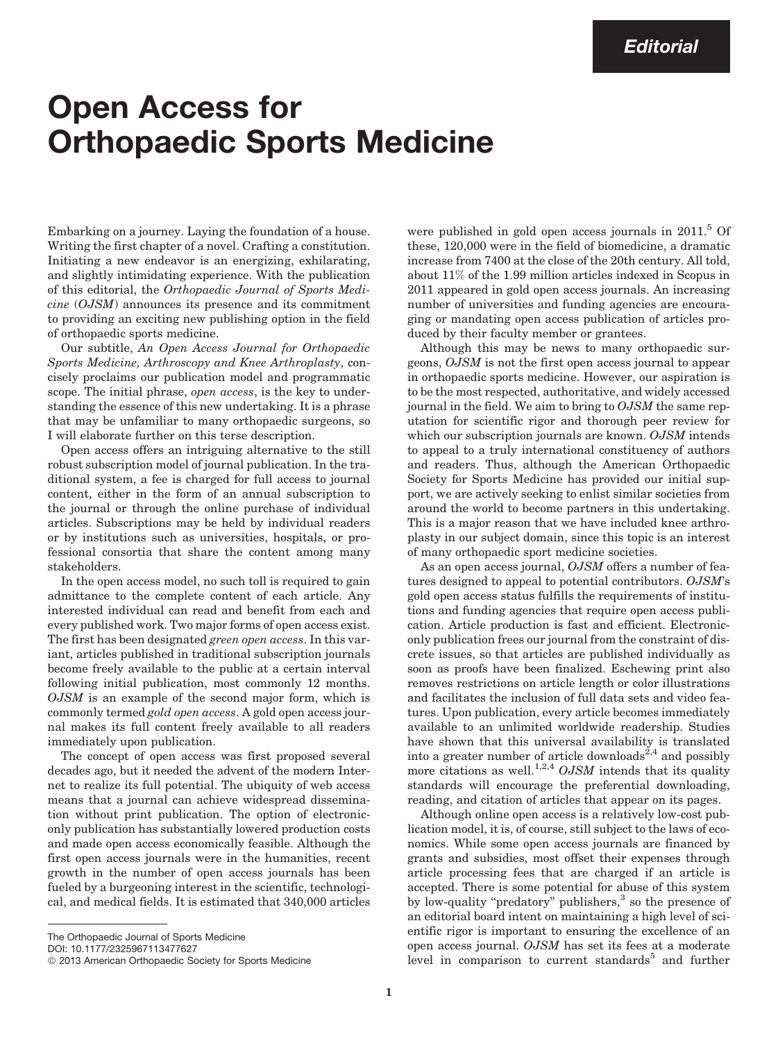## Open Access for Orthopaedic Sports Medicine

Embarking on a journey. Laying the foundation of a house. Writing the first chapter of a novel. Crafting a constitution. Initiating a new endeavor is an energizing, exhilarating, and slightly intimidating experience. With the publication of this editorial, the Orthopaedic Journal of Sports Medicine (OJSM) announces its presence and its commitment to providing an exciting new publishing option in the field of orthopaedic sports medicine.

Our subtitle, An Open Access Journal for Orthopaedic Sports Medicine, Arthroscopy and Knee Arthroplasty, concisely proclaims our publication model and programmatic scope. The initial phrase, *open access*, is the key to understanding the essence of this new undertaking. It is a phrase that may be unfamiliar to many orthopaedic surgeons, so I will elaborate further on this terse description.

Open access offers an intriguing alternative to the still robust subscription model of journal publication. In the traditional system, a fee is charged for full access to journal content, either in the form of an annual subscription to the journal or through the online purchase of individual articles. Subscriptions may be held by individual readers or by institutions such as universities, hospitals, or professional consortia that share the content among many stakeholders.

In the open access model, no such toll is required to gain admittance to the complete content of each article. Any interested individual can read and benefit from each and every published work. Two major forms of open access exist. The first has been designated green open access. In this variant, articles published in traditional subscription journals become freely available to the public at a certain interval following initial publication, most commonly 12 months. OJSM is an example of the second major form, which is commonly termed gold open access. A gold open access journal makes its full content freely available to all readers immediately upon publication.

The concept of open access was first proposed several decades ago, but it needed the advent of the modern Internet to realize its full potential. The ubiquity of web access means that a journal can achieve widespread dissemination without print publication. The option of electroniconly publication has substantially lowered production costs and made open access economically feasible. Although the first open access journals were in the humanities, recent growth in the number of open access journals has been fueled by a burgeoning interest in the scientific, technological, and medical fields. It is estimated that 340,000 articles were published in gold open access journals in  $2011$ <sup>5</sup> Of these, 120,000 were in the field of biomedicine, a dramatic increase from 7400 at the close of the 20th century. All told, about 11% of the 1.99 million articles indexed in Scopus in 2011 appeared in gold open access journals. An increasing number of universities and funding agencies are encouraging or mandating open access publication of articles produced by their faculty member or grantees.

Although this may be news to many orthopaedic surgeons, OJSM is not the first open access journal to appear in orthopaedic sports medicine. However, our aspiration is to be the most respected, authoritative, and widely accessed journal in the field. We aim to bring to OJSM the same reputation for scientific rigor and thorough peer review for which our subscription journals are known. OJSM intends to appeal to a truly international constituency of authors and readers. Thus, although the American Orthopaedic Society for Sports Medicine has provided our initial support, we are actively seeking to enlist similar societies from around the world to become partners in this undertaking. This is a major reason that we have included knee arthroplasty in our subject domain, since this topic is an interest of many orthopaedic sport medicine societies.

As an open access journal, OJSM offers a number of features designed to appeal to potential contributors. OJSM's gold open access status fulfills the requirements of institutions and funding agencies that require open access publication. Article production is fast and efficient. Electroniconly publication frees our journal from the constraint of discrete issues, so that articles are published individually as soon as proofs have been finalized. Eschewing print also removes restrictions on article length or color illustrations and facilitates the inclusion of full data sets and video features. Upon publication, every article becomes immediately available to an unlimited worldwide readership. Studies have shown that this universal availability is translated into a greater number of article downloads<sup>2,4</sup> and possibly more citations as well.<sup>1,2,4</sup> OJSM intends that its quality standards will encourage the preferential downloading, reading, and citation of articles that appear on its pages.

Although online open access is a relatively low-cost publication model, it is, of course, still subject to the laws of economics. While some open access journals are financed by grants and subsidies, most offset their expenses through article processing fees that are charged if an article is accepted. There is some potential for abuse of this system by low-quality "predatory" publishers,<sup>3</sup> so the presence of an editorial board intent on maintaining a high level of scientific rigor is important to ensuring the excellence of an open access journal. OJSM has set its fees at a moderate level in comparison to current standards<sup>5</sup> and further

The Orthopaedic Journal of Sports Medicine

DOI: 10.1177/2325967113477627

<sup>&</sup>lt;sup>©</sup> 2013 American Orthopaedic Society for Sports Medicine